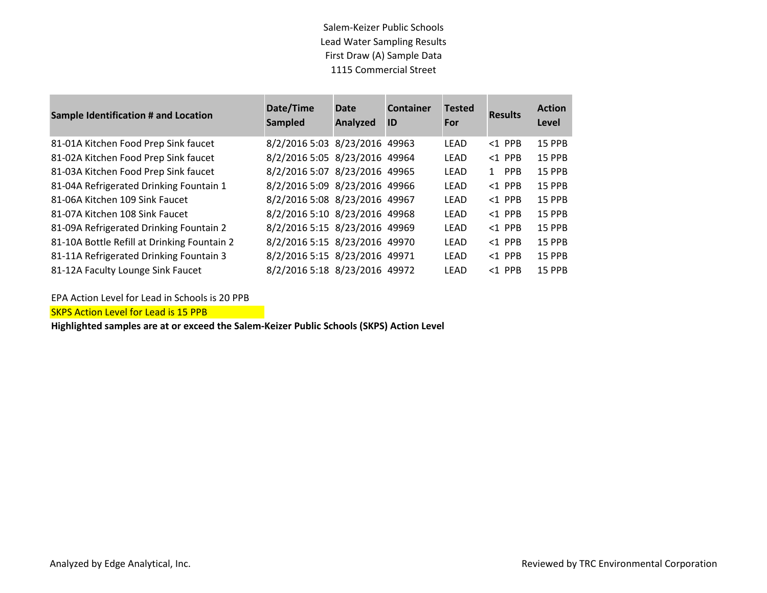Salem-Keizer Public Schools Lead Water Sampling Results First Draw (A) Sample Data 1115 Commercial Street

| <b>Sample Identification # and Location</b> | Date/Time<br><b>Sampled</b>   | Date<br>Analyzed | <b>Container</b><br>ID | <b>Tested</b><br>For | <b>Results</b>             | <b>Action</b><br>Level |
|---------------------------------------------|-------------------------------|------------------|------------------------|----------------------|----------------------------|------------------------|
| 81-01A Kitchen Food Prep Sink faucet        | 8/2/2016 5:03 8/23/2016 49963 |                  |                        | <b>LEAD</b>          | $<$ 1 PPB                  | <b>15 PPB</b>          |
| 81-02A Kitchen Food Prep Sink faucet        | 8/2/2016 5:05 8/23/2016 49964 |                  |                        | <b>LEAD</b>          | $<$ 1 PPB                  | <b>15 PPB</b>          |
| 81-03A Kitchen Food Prep Sink faucet        | 8/2/2016 5:07 8/23/2016 49965 |                  |                        | <b>LEAD</b>          | <b>PPB</b><br>$\mathbf{1}$ | <b>15 PPB</b>          |
| 81-04A Refrigerated Drinking Fountain 1     | 8/2/2016 5:09 8/23/2016 49966 |                  |                        | LEAD                 | $<$ 1 PPB                  | <b>15 PPB</b>          |
| 81-06A Kitchen 109 Sink Faucet              | 8/2/2016 5:08 8/23/2016 49967 |                  |                        | <b>LEAD</b>          | $<$ 1 PPB                  | <b>15 PPB</b>          |
| 81-07A Kitchen 108 Sink Faucet              | 8/2/2016 5:10 8/23/2016 49968 |                  |                        | <b>LEAD</b>          | $<1$ PPB                   | <b>15 PPB</b>          |
| 81-09A Refrigerated Drinking Fountain 2     | 8/2/2016 5:15 8/23/2016 49969 |                  |                        | <b>LEAD</b>          | $<$ 1 PPB                  | <b>15 PPB</b>          |
| 81-10A Bottle Refill at Drinking Fountain 2 | 8/2/2016 5:15 8/23/2016 49970 |                  |                        | LEAD                 | $<$ 1 PPB                  | <b>15 PPB</b>          |
| 81-11A Refrigerated Drinking Fountain 3     | 8/2/2016 5:15 8/23/2016 49971 |                  |                        | <b>LEAD</b>          | $<$ 1 PPB                  | 15 PPB                 |
| 81-12A Faculty Lounge Sink Faucet           | 8/2/2016 5:18 8/23/2016 49972 |                  |                        | LEAD                 | $<$ 1 PPB                  | <b>15 PPB</b>          |

EPA Action Level for Lead in Schools is 20 PPB

SKPS Action Level for Lead is 15 PPB

**Highlighted samples are at or exceed the Salem-Keizer Public Schools (SKPS) Action Level**